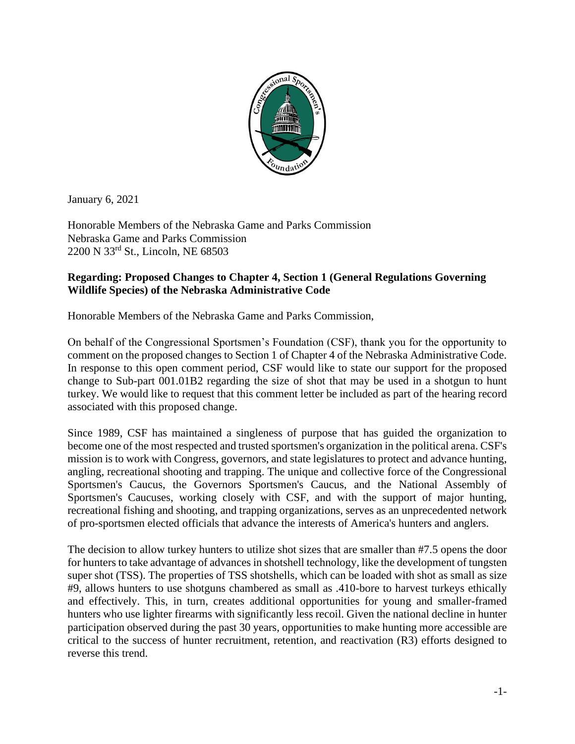

January 6, 2021

Honorable Members of the Nebraska Game and Parks Commission Nebraska Game and Parks Commission 2200 N 33rd St., Lincoln, NE 68503

## **Regarding: Proposed Changes to Chapter 4, Section 1 (General Regulations Governing Wildlife Species) of the Nebraska Administrative Code**

Honorable Members of the Nebraska Game and Parks Commission,

On behalf of the Congressional Sportsmen's Foundation (CSF), thank you for the opportunity to comment on the proposed changes to Section 1 of Chapter 4 of the Nebraska Administrative Code. In response to this open comment period, CSF would like to state our support for the proposed change to Sub-part 001.01B2 regarding the size of shot that may be used in a shotgun to hunt turkey. We would like to request that this comment letter be included as part of the hearing record associated with this proposed change.

Since 1989, CSF has maintained a singleness of purpose that has guided the organization to become one of the most respected and trusted sportsmen's organization in the political arena. CSF's mission is to work with Congress, governors, and state legislatures to protect and advance hunting, angling, recreational shooting and trapping. The unique and collective force of the Congressional Sportsmen's Caucus, the Governors Sportsmen's Caucus, and the National Assembly of Sportsmen's Caucuses, working closely with CSF, and with the support of major hunting, recreational fishing and shooting, and trapping organizations, serves as an unprecedented network of pro-sportsmen elected officials that advance the interests of America's hunters and anglers.

The decision to allow turkey hunters to utilize shot sizes that are smaller than #7.5 opens the door for hunters to take advantage of advances in shotshell technology, like the development of tungsten super shot (TSS). The properties of TSS shotshells, which can be loaded with shot as small as size #9, allows hunters to use shotguns chambered as small as .410-bore to harvest turkeys ethically and effectively. This, in turn, creates additional opportunities for young and smaller-framed hunters who use lighter firearms with significantly less recoil. Given the national decline in hunter participation observed during the past 30 years, opportunities to make hunting more accessible are critical to the success of hunter recruitment, retention, and reactivation (R3) efforts designed to reverse this trend.